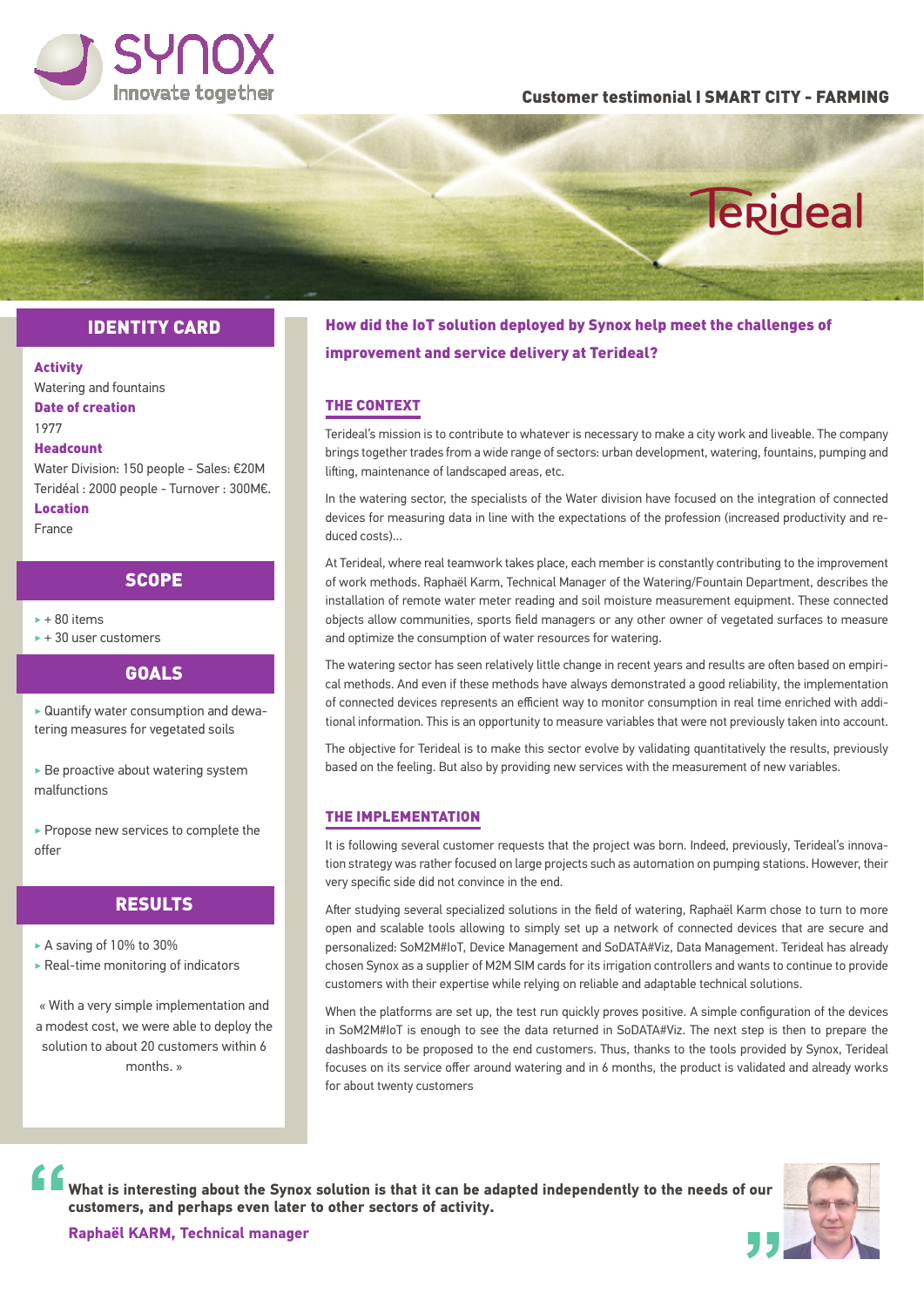

### Customer testimonial I SMART CITY - FARMING

## Terideal

## IDENTITY CARD

#### Activity

Watering and fountains Date of creation 1977

### Headcount

Water Division: 150 people - Sales: €20M Teridéal : 2000 people - Turnover : 300M€.

Location

## France

## **SCOPE**

- $+80$  items
- $\rightarrow$  + 30 user customers

**GOALS** 

‣ Quantify water consumption and dewatering measures for vegetated soils

‣ Be proactive about watering system malfunctions

▶ Propose new services to complete the offer

## RESULTS

- ► A saving of 10% to 30%
- ‣ Real-time monitoring of indicators

« With a very simple implementation and a modest cost, we were able to deploy the solution to about 20 customers within 6 monthe. »

## How did the IoT solution deployed by Synox help meet the challenges of improvement and service delivery at Terideal?

## THE CONTEXT

Terideal's mission is to contribute to whatever is necessary to make a city work and liveable. The company brings together trades from a wide range of sectors: urban development, watering, fountains, pumping and lifting, maintenance of landscaped areas, etc.

In the watering sector, the specialists of the Water division have focused on the integration of connected devices for measuring data in line with the expectations of the profession (increased productivity and reduced costs)...

At Terideal, where real teamwork takes place, each member is constantly contributing to the improvement of work methods. Raphaël Karm, Technical Manager of the Watering/Fountain Department, describes the installation of remote water meter reading and soil moisture measurement equipment. These connected objects allow communities, sports field managers or any other owner of vegetated surfaces to measure and optimize the consumption of water resources for watering.

The watering sector has seen relatively little change in recent years and results are often based on empirical methods. And even if these methods have always demonstrated a good reliability, the implementation of connected devices represents an efficient way to monitor consumption in real time enriched with additional information. This is an opportunity to measure variables that were not previously taken into account.

The objective for Terideal is to make this sector evolve by validating quantitatively the results, previously based on the feeling. But also by providing new services with the measurement of new variables.

#### THE IMPLEMENTATION

It is following several customer requests that the project was born. Indeed, previously, Terideal's innovation strategy was rather focused on large projects such as automation on pumping stations. However, their very specific side did not convince in the end.

After studying several specialized solutions in the field of watering, Raphaël Karm chose to turn to more open and scalable tools allowing to simply set up a network of connected devices that are secure and personalized: SoM2M#IoT, Device Management and SoDATA#Viz, Data Management. Terideal has already chosen Synox as a supplier of M2M SIM cards for its irrigation controllers and wants to continue to provide customers with their expertise while relying on reliable and adaptable technical solutions.

When the platforms are set up, the test run quickly proves positive. A simple configuration of the devices in SoM2M#IoT is enough to see the data returned in SoDATA#Viz. The next step is then to prepare the dashboards to be proposed to the end customers. Thus, thanks to the tools provided by Synox, Terideal focuses on its service offer around watering and in 6 months, the product is validated and already works for about twenty customers

**What is interesting about the Synox solution is that it can be adapted independently to the needs of our customers, and perhaps even later to other sectors of activity.**



**Raphaël KARM, Technical manager**